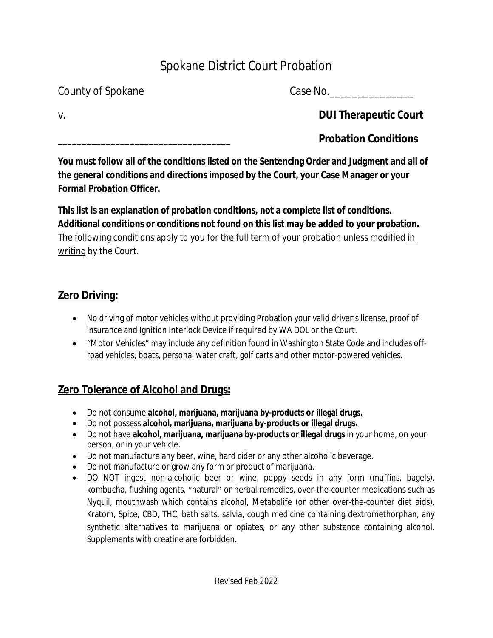# Spokane District Court Probation

County of Spokane County of Spokane

v. **DUI Therapeutic Court**

\_\_\_\_\_\_\_\_\_\_\_\_\_\_\_\_\_\_\_\_\_\_\_\_\_\_\_\_\_\_\_\_\_\_\_\_ **Probation Conditions**

**You must follow all of the conditions listed on the Sentencing Order and Judgment and all of the general conditions and directions imposed by the Court, your Case Manager or your Formal Probation Officer.**

**This list is an explanation of probation conditions, not a complete list of conditions. Additional conditions or conditions not found on this list may be added to your probation.** The following conditions apply to you for the full term of your probation unless modified in writing by the Court.

## **Zero Driving:**

- No driving of motor vehicles without providing Probation your valid driver's license, proof of insurance and Ignition Interlock Device if required by WA DOL or the Court.
- "Motor Vehicles" may include any definition found in Washington State Code and includes offroad vehicles, boats, personal water craft, golf carts and other motor-powered vehicles.

## **Zero Tolerance of Alcohol and Drugs:**

- Do not consume **alcohol, marijuana, marijuana by-products or illegal drugs.**
- Do not possess **alcohol, marijuana, marijuana by-products or illegal drugs.**
- Do not have **alcohol, marijuana, marijuana by-products or illegal drugs** in your home, on your person, or in your vehicle.
- Do not manufacture any beer, wine, hard cider or any other alcoholic beverage.
- Do not manufacture or grow any form or product of marijuana.
- DO NOT ingest non-alcoholic beer or wine, poppy seeds in any form (muffins, bagels), kombucha, flushing agents, "natural" or herbal remedies, over-the-counter medications such as Nyquil, mouthwash which contains alcohol, Metabolife (or other over-the-counter diet aids), Kratom, Spice, CBD, THC, bath salts, salvia, cough medicine containing dextromethorphan, any synthetic alternatives to marijuana or opiates, or any other substance containing alcohol. Supplements with creatine are forbidden.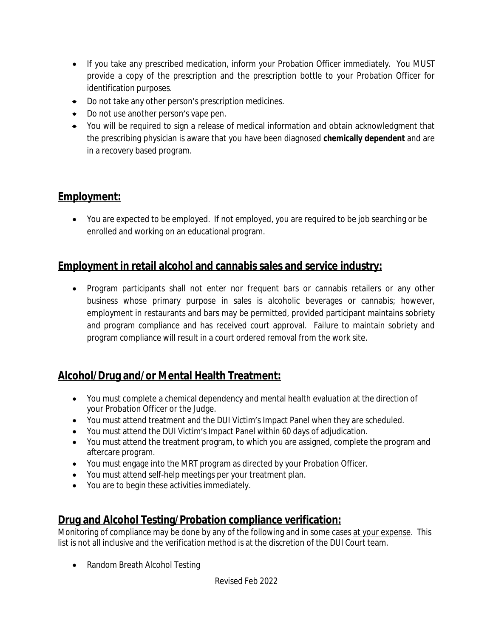- If you take any prescribed medication, inform your Probation Officer immediately. You MUST provide a copy of the prescription and the prescription bottle to your Probation Officer for identification purposes.
- Do not take any other person's prescription medicines.
- Do not use another person's vape pen.
- You will be required to sign a release of medical information and obtain acknowledgment that the prescribing physician is aware that you have been diagnosed **chemically dependent** and are in a recovery based program.

### **Employment:**

 You are expected to be employed. If not employed, you are required to be job searching or be enrolled and working on an educational program.

#### **Employment in retail alcohol and cannabis sales and service industry:**

 Program participants shall not enter nor frequent bars or cannabis retailers or any other business whose primary purpose in sales is alcoholic beverages or cannabis; however, employment in restaurants and bars may be permitted, provided participant maintains sobriety and program compliance and has received court approval. Failure to maintain sobriety and program compliance will result in a court ordered removal from the work site.

### **Alcohol/Drug and/or Mental Health Treatment:**

- You must complete a chemical dependency and mental health evaluation at the direction of your Probation Officer or the Judge.
- You must attend treatment and the DUI Victim's Impact Panel when they are scheduled.
- You must attend the DUI Victim's Impact Panel within 60 days of adjudication.
- You must attend the treatment program, to which you are assigned, complete the program and aftercare program.
- You must engage into the MRT program as directed by your Probation Officer.
- You must attend self-help meetings per your treatment plan.
- You are to begin these activities immediately.

#### **Drug and Alcohol Testing/Probation compliance verification:**

Monitoring of compliance may be done by any of the following and in some cases at your expense. This list is not all inclusive and the verification method is at the discretion of the DUI Court team.

• Random Breath Alcohol Testing